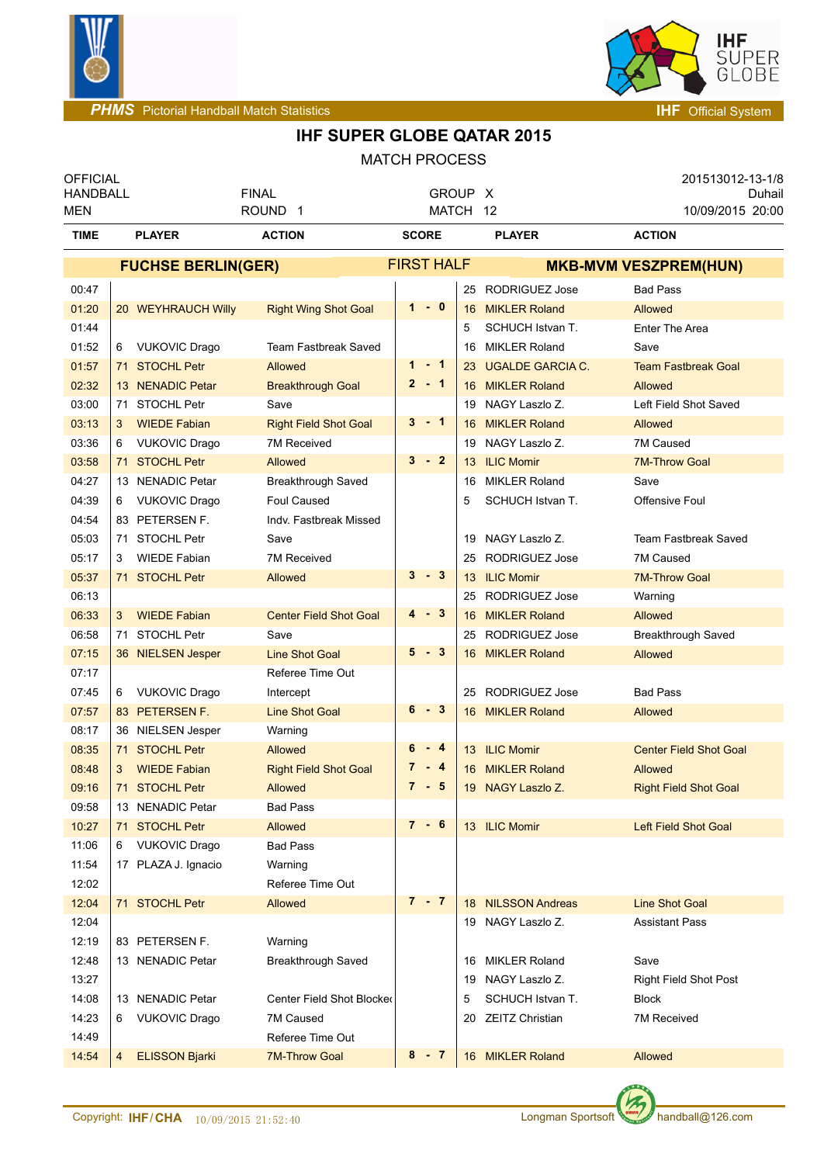



| <b>OFFICIAL</b><br><b>HANDBALL</b> |                                         | <b>FINAL</b>                  | GROUP X              |    |                         | 201513012-13-1/8<br>Duhail    |
|------------------------------------|-----------------------------------------|-------------------------------|----------------------|----|-------------------------|-------------------------------|
| <b>MEN</b>                         |                                         | ROUND <sub>1</sub>            | MATCH 12             |    |                         | 10/09/2015 20:00              |
| <b>TIME</b>                        | <b>PLAYER</b>                           | <b>ACTION</b>                 | <b>SCORE</b>         |    | <b>PLAYER</b>           | <b>ACTION</b>                 |
|                                    | <b>FUCHSE BERLIN(GER)</b>               |                               | <b>FIRST HALF</b>    |    |                         | <b>MKB-MVM VESZPREM(HUN)</b>  |
| 00:47                              |                                         |                               |                      | 25 | RODRIGUEZ Jose          | <b>Bad Pass</b>               |
| 01:20                              | 20 WEYHRAUCH Willy                      | <b>Right Wing Shot Goal</b>   | $1 - 0$              |    | 16 MIKLER Roland        | Allowed                       |
| 01:44                              |                                         |                               |                      | 5  | SCHUCH Istvan T.        | Enter The Area                |
| 01:52                              | 6 VUKOVIC Drago                         | <b>Team Fastbreak Saved</b>   |                      | 16 | <b>MIKLER Roland</b>    | Save                          |
| 01:57                              | 71 STOCHL Petr                          | <b>Allowed</b>                | $1 - 1$              | 23 | <b>UGALDE GARCIA C.</b> | <b>Team Fastbreak Goal</b>    |
| 02:32                              | 13 NENADIC Petar                        | <b>Breakthrough Goal</b>      | $2 - 1$              | 16 | <b>MIKLER Roland</b>    | Allowed                       |
| 03:00                              | 71 STOCHL Petr                          | Save                          |                      | 19 | NAGY Laszlo Z.          | Left Field Shot Saved         |
| 03:13                              | <b>WIEDE Fabian</b><br>3                | <b>Right Field Shot Goal</b>  | $3 - 1$              | 16 | <b>MIKLER Roland</b>    | <b>Allowed</b>                |
| 03:36                              | <b>VUKOVIC Drago</b><br>6               | 7M Received                   |                      | 19 | NAGY Laszlo Z.          | 7M Caused                     |
| 03:58                              | 71 STOCHL Petr                          | <b>Allowed</b>                | $\mathbf{3}$<br>$-2$ | 13 | <b>ILIC Momir</b>       | <b>7M-Throw Goal</b>          |
| 04:27                              | 13 NENADIC Petar                        | Breakthrough Saved            |                      | 16 | <b>MIKLER Roland</b>    | Save                          |
| 04:39                              | <b>VUKOVIC Drago</b><br>6               | Foul Caused                   |                      | 5  | SCHUCH Istvan T.        | Offensive Foul                |
| 04:54                              | 83 PETERSEN F.                          | Indv. Fastbreak Missed        |                      |    |                         |                               |
| 05:03                              | 71 STOCHL Petr                          | Save                          |                      | 19 | NAGY Laszlo Z.          | Team Fastbreak Saved          |
| 05:17                              | <b>WIEDE Fabian</b><br>3                | 7M Received                   |                      | 25 | <b>RODRIGUEZ Jose</b>   | 7M Caused                     |
| 05:37                              | 71 STOCHL Petr                          | <b>Allowed</b>                | $3 - 3$              | 13 | <b>ILIC Momir</b>       | <b>7M-Throw Goal</b>          |
| 06:13                              |                                         |                               |                      | 25 | RODRIGUEZ Jose          | Warning                       |
| 06:33                              | <b>WIEDE Fabian</b><br>3                | <b>Center Field Shot Goal</b> | 4 - 3                | 16 | <b>MIKLER Roland</b>    | Allowed                       |
| 06:58                              | 71 STOCHL Petr                          | Save                          |                      | 25 | <b>RODRIGUEZ Jose</b>   | Breakthrough Saved            |
| 07:15                              | 36 NIELSEN Jesper                       | <b>Line Shot Goal</b>         | 5<br>- 3             | 16 | <b>MIKLER Roland</b>    | <b>Allowed</b>                |
| 07:17                              |                                         | Referee Time Out              |                      |    |                         |                               |
| 07:45                              | <b>VUKOVIC Drago</b><br>6               | Intercept                     |                      | 25 | <b>RODRIGUEZ Jose</b>   | <b>Bad Pass</b>               |
| 07:57                              | 83 PETERSEN F.                          | <b>Line Shot Goal</b>         | 6<br>- 3             |    | 16 MIKLER Roland        | <b>Allowed</b>                |
| 08:17                              | 36 NIELSEN Jesper                       | Warning                       |                      |    |                         |                               |
| 08:35                              | 71 STOCHL Petr                          | <b>Allowed</b>                | 6<br>$-4$            |    | 13 ILIC Momir           | <b>Center Field Shot Goal</b> |
| 08:48                              | <b>WIEDE Fabian</b><br>3                | <b>Right Field Shot Goal</b>  | $7 - 4$              |    | 16 MIKLER Roland        | Allowed                       |
| 09:16                              | 71 STOCHL Petr                          | <b>Allowed</b>                | $7 - 5$              |    | 19 NAGY Laszlo Z.       | <b>Right Field Shot Goal</b>  |
| 09:58                              | 13 NENADIC Petar                        | <b>Bad Pass</b>               |                      |    |                         |                               |
| 10:27                              | 71 STOCHL Petr                          | <b>Allowed</b>                | $7 - 6$              |    | 13 ILIC Momir           | Left Field Shot Goal          |
| 11:06                              | <b>VUKOVIC Drago</b><br>6               | <b>Bad Pass</b>               |                      |    |                         |                               |
| 11:54                              | 17 PLAZA J. Ignacio                     | Warning                       |                      |    |                         |                               |
| 12:02                              |                                         | Referee Time Out              |                      |    |                         |                               |
| 12:04                              | 71 STOCHL Petr                          | <b>Allowed</b>                | $7 - 7$              |    | 18 NILSSON Andreas      | <b>Line Shot Goal</b>         |
| 12:04                              |                                         |                               |                      |    | 19 NAGY Laszlo Z.       | <b>Assistant Pass</b>         |
| 12:19                              | 83 PETERSEN F.                          | Warning                       |                      |    |                         |                               |
| 12:48                              | 13 NENADIC Petar                        | <b>Breakthrough Saved</b>     |                      | 16 | <b>MIKLER Roland</b>    | Save                          |
| 13:27                              |                                         |                               |                      | 19 | NAGY Laszlo Z.          | <b>Right Field Shot Post</b>  |
| 14:08                              | 13 NENADIC Petar                        | Center Field Shot Blocked     |                      | 5  | SCHUCH Istvan T.        | <b>Block</b>                  |
| 14:23                              | <b>VUKOVIC Drago</b><br>6               | 7M Caused                     |                      | 20 | <b>ZEITZ Christian</b>  | 7M Received                   |
| 14:49                              |                                         | Referee Time Out              |                      |    |                         |                               |
| 14:54                              | <b>ELISSON Bjarki</b><br>$\overline{4}$ | <b>7M-Throw Goal</b>          | $8 - 7$              |    | 16 MIKLER Roland        | Allowed                       |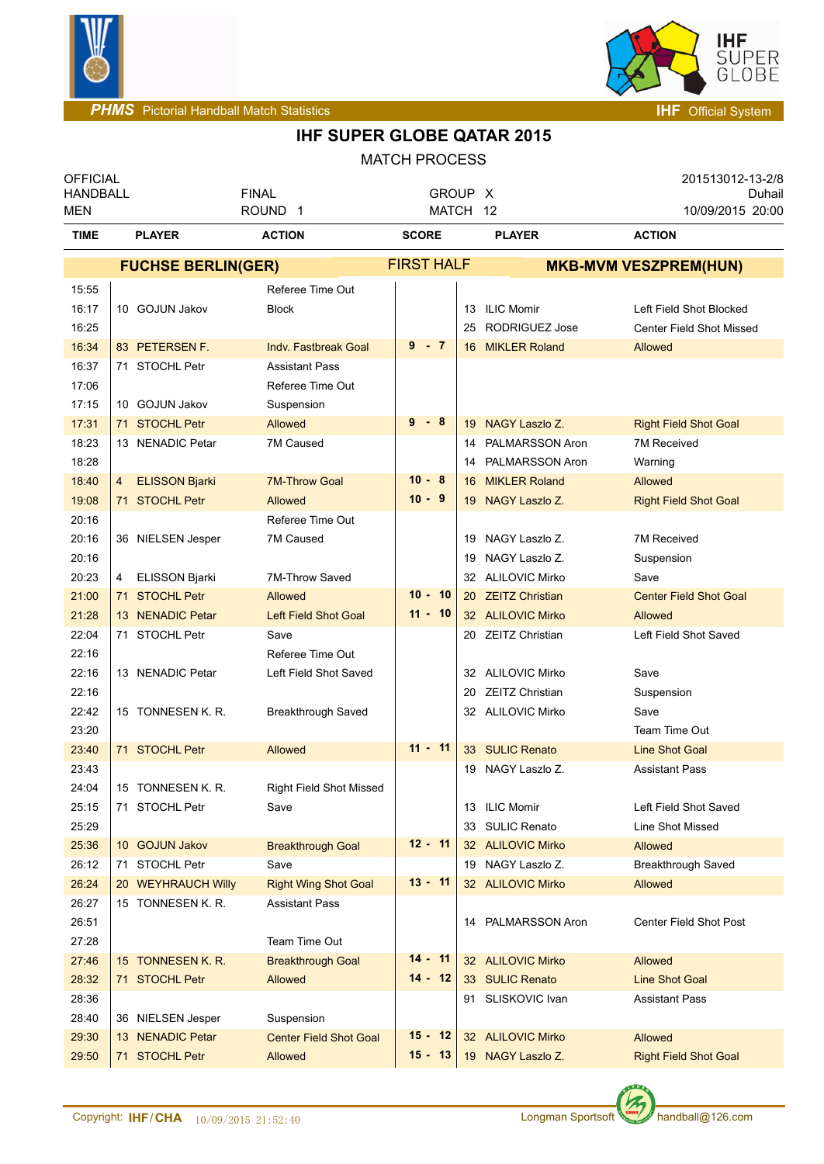



| <b>OFFICIAL</b><br><b>HANDBALL</b> |                                    | <b>FINAL</b>                             | GROUP X                |                                        | 201513012-13-2/8<br>Duhail                     |
|------------------------------------|------------------------------------|------------------------------------------|------------------------|----------------------------------------|------------------------------------------------|
| MEN                                |                                    | ROUND <sub>1</sub>                       | MATCH 12               |                                        | 10/09/2015 20:00                               |
| <b>TIME</b>                        | <b>PLAYER</b>                      | <b>ACTION</b>                            | <b>SCORE</b>           | <b>PLAYER</b>                          | <b>ACTION</b>                                  |
|                                    | <b>FUCHSE BERLIN(GER)</b>          |                                          | <b>FIRST HALF</b>      |                                        | <b>MKB-MVM VESZPREM(HUN)</b>                   |
| 15:55                              |                                    | Referee Time Out                         |                        |                                        |                                                |
| 16:17                              | 10 GOJUN Jakov                     | <b>Block</b>                             |                        | 13 ILIC Momir                          | Left Field Shot Blocked                        |
| 16:25                              |                                    |                                          |                        | 25 RODRIGUEZ Jose                      | <b>Center Field Shot Missed</b>                |
| 16:34                              | 83 PETERSEN F.                     | <b>Indv. Fastbreak Goal</b>              | $9 - 7$                | 16 MIKLER Roland                       | Allowed                                        |
| 16:37                              | 71 STOCHL Petr                     | <b>Assistant Pass</b>                    |                        |                                        |                                                |
| 17:06                              |                                    | Referee Time Out                         |                        |                                        |                                                |
| 17:15                              | 10 GOJUN Jakov                     | Suspension                               |                        |                                        |                                                |
| 17:31                              | 71 STOCHL Petr                     | Allowed                                  | $9 - 8$                | 19 NAGY Laszlo Z.                      | <b>Right Field Shot Goal</b>                   |
| 18:23                              | 13 NENADIC Petar                   | 7M Caused                                |                        | 14 PALMARSSON Aron                     | 7M Received                                    |
| 18:28                              |                                    |                                          |                        | 14 PALMARSSON Aron                     | Warning                                        |
| 18:40                              | <b>ELISSON Bjarki</b><br>4         | <b>7M-Throw Goal</b>                     | $10 - 8$               | 16 MIKLER Roland                       | <b>Allowed</b>                                 |
| 19:08                              | 71 STOCHL Petr                     | Allowed                                  | $10 - 9$               | 19 NAGY Laszlo Z.                      | <b>Right Field Shot Goal</b>                   |
| 20:16                              |                                    | Referee Time Out                         |                        |                                        |                                                |
| 20:16                              | 36 NIELSEN Jesper                  | 7M Caused                                |                        | 19 NAGY Laszlo Z.                      | <b>7M Received</b>                             |
| 20:16                              |                                    |                                          |                        | 19 NAGY Laszlo Z.                      | Suspension                                     |
| 20:23                              | ELISSON Bjarki<br>4                | 7M-Throw Saved                           |                        | 32 ALILOVIC Mirko                      | Save                                           |
| 21:00                              | 71 STOCHL Petr                     | Allowed                                  | $10 - 10$              | 20 ZEITZ Christian                     | <b>Center Field Shot Goal</b>                  |
| 21:28                              | 13 NENADIC Petar                   | <b>Left Field Shot Goal</b>              | $11 - 10$              | 32 ALILOVIC Mirko                      | <b>Allowed</b>                                 |
| 22:04                              | 71 STOCHL Petr                     | Save                                     |                        | 20 ZEITZ Christian                     | Left Field Shot Saved                          |
| 22:16                              |                                    | Referee Time Out                         |                        |                                        |                                                |
| 22:16                              | 13 NENADIC Petar                   | Left Field Shot Saved                    |                        | 32 ALILOVIC Mirko                      | Save                                           |
| 22:16                              |                                    |                                          |                        | 20 ZEITZ Christian                     | Suspension                                     |
| 22:42                              | 15 TONNESEN K. R.                  | Breakthrough Saved                       |                        | 32 ALILOVIC Mirko                      | Save                                           |
| 23:20                              |                                    |                                          |                        |                                        | Team Time Out                                  |
| 23:40                              | 71 STOCHL Petr                     | Allowed                                  | $11 - 11$              | 33 SULIC Renato                        | <b>Line Shot Goal</b>                          |
| 23:43                              |                                    |                                          |                        | 19 NAGY Laszlo Z.                      | <b>Assistant Pass</b>                          |
| 24:04                              | 15 TONNESEN K. R.                  | <b>Right Field Shot Missed</b>           |                        |                                        |                                                |
| 25:15                              | 71 STOCHL Petr                     | Save                                     |                        | 13 ILIC Momir                          | Left Field Shot Saved                          |
| 25:29                              |                                    |                                          |                        | 33 SULIC Renato                        | Line Shot Missed                               |
| 25:36                              | 10 GOJUN Jakov                     | <b>Breakthrough Goal</b>                 | $12 - 11$              | 32 ALILOVIC Mirko                      | <b>Allowed</b>                                 |
| 26:12                              | 71 STOCHL Petr                     | Save                                     |                        | 19 NAGY Laszlo Z.                      | Breakthrough Saved                             |
| 26:24                              | 20 WEYHRAUCH Willy                 | <b>Right Wing Shot Goal</b>              | $13 - 11$              | 32 ALILOVIC Mirko                      | Allowed                                        |
| 26:27                              | 15 TONNESEN K. R.                  | <b>Assistant Pass</b>                    |                        |                                        |                                                |
| 26:51                              |                                    |                                          |                        | 14 PALMARSSON Aron                     | Center Field Shot Post                         |
| 27:28                              |                                    | Team Time Out                            |                        |                                        |                                                |
| 27:46                              | 15 TONNESEN K. R.                  | <b>Breakthrough Goal</b>                 | $14 - 11$<br>$14 - 12$ | 32 ALILOVIC Mirko                      | Allowed                                        |
| 28:32                              | 71 STOCHL Petr                     | Allowed                                  |                        | 33 SULIC Renato                        | <b>Line Shot Goal</b>                          |
| 28:36                              |                                    |                                          |                        | 91 SLISKOVIC Ivan                      | <b>Assistant Pass</b>                          |
| 28:40                              | 36 NIELSEN Jesper                  | Suspension                               | $15 - 12$              |                                        |                                                |
| 29:30<br>29:50                     | 13 NENADIC Petar<br>71 STOCHL Petr | <b>Center Field Shot Goal</b><br>Allowed | $15 - 13$              | 32 ALILOVIC Mirko<br>19 NAGY Laszlo Z. | <b>Allowed</b><br><b>Right Field Shot Goal</b> |
|                                    |                                    |                                          |                        |                                        |                                                |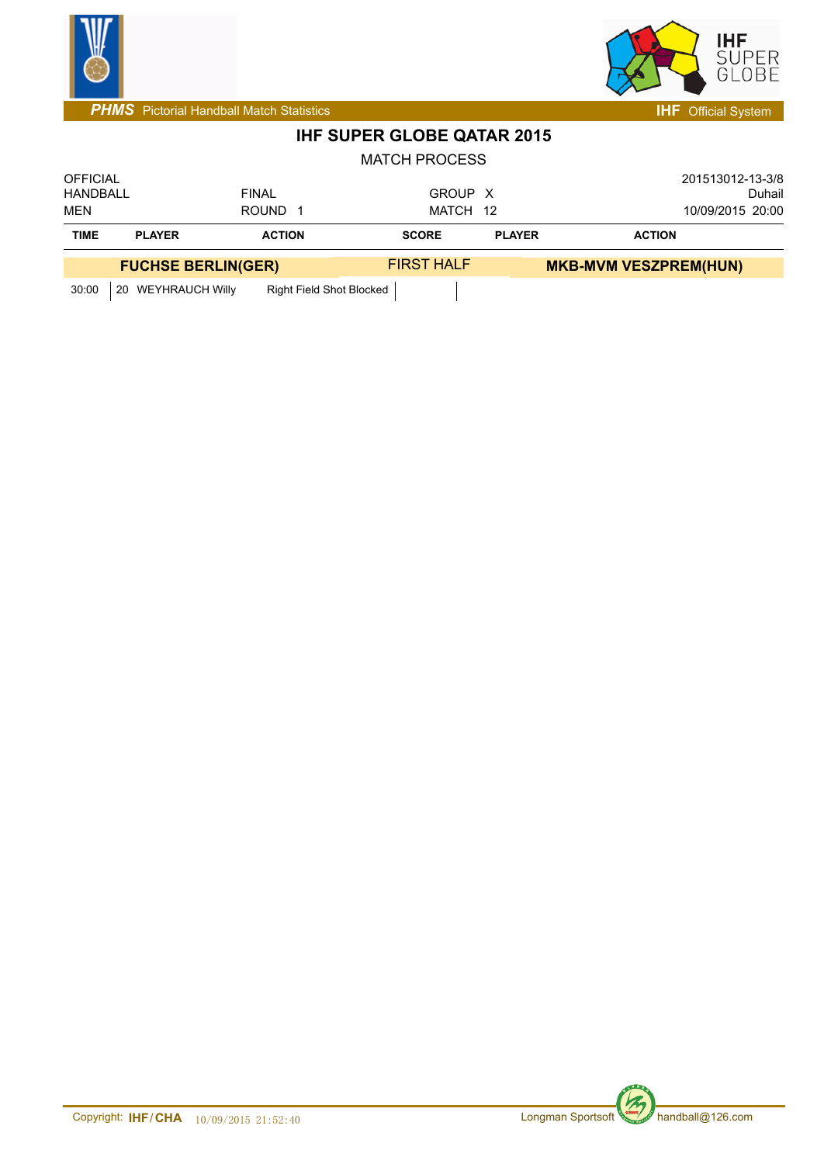



| <b>OFFICIAL</b> |                           |                          |                   |               | 201513012-13-3/8             |  |
|-----------------|---------------------------|--------------------------|-------------------|---------------|------------------------------|--|
| HANDBALL        |                           | <b>FINAL</b>             | GROUP X           |               | Duhail                       |  |
| MEN             |                           | <b>ROUND</b>             | MATCH 12          |               | 10/09/2015 20:00             |  |
| <b>TIME</b>     | <b>PLAYER</b>             | <b>ACTION</b>            | <b>SCORE</b>      | <b>PLAYER</b> | <b>ACTION</b>                |  |
|                 | <b>FUCHSE BERLIN(GER)</b> |                          | <b>FIRST HALF</b> |               | <b>MKB-MVM VESZPREM(HUN)</b> |  |
| 30:00           | 20 WEYHRAUCH Willy        | Right Field Shot Blocked |                   |               |                              |  |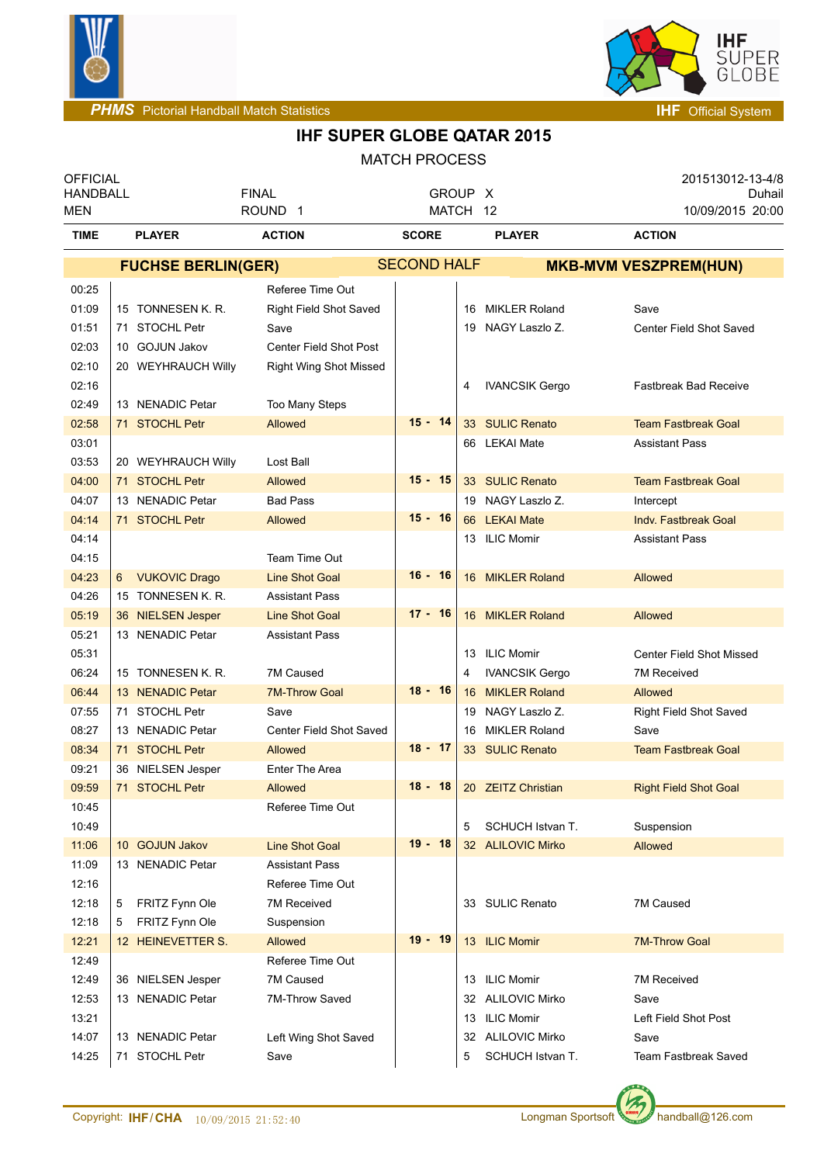



| <b>OFFICIAL</b><br><b>HANDBALL</b> |                           | <b>FINAL</b>                           | GROUP X            |    |                       | 201513012-13-4/8<br>Duhail      |
|------------------------------------|---------------------------|----------------------------------------|--------------------|----|-----------------------|---------------------------------|
| MEN                                |                           | ROUND <sub>1</sub>                     | MATCH 12           |    |                       | 10/09/2015 20:00                |
| <b>TIME</b>                        | <b>PLAYER</b>             | <b>ACTION</b>                          | <b>SCORE</b>       |    | <b>PLAYER</b>         | <b>ACTION</b>                   |
|                                    | <b>FUCHSE BERLIN(GER)</b> |                                        | <b>SECOND HALF</b> |    |                       | <b>MKB-MVM VESZPREM(HUN)</b>    |
| 00:25                              |                           | Referee Time Out                       |                    |    |                       |                                 |
| 01:09                              | 15 TONNESEN K. R.         | Right Field Shot Saved                 |                    |    | 16 MIKLER Roland      | Save                            |
| 01:51                              | 71 STOCHL Petr            | Save                                   |                    |    | 19 NAGY Laszlo Z.     | Center Field Shot Saved         |
| 02:03                              | 10 GOJUN Jakov            | <b>Center Field Shot Post</b>          |                    |    |                       |                                 |
| 02:10                              | 20 WEYHRAUCH Willy        | Right Wing Shot Missed                 |                    |    |                       |                                 |
| 02:16                              |                           |                                        |                    | 4  | <b>IVANCSIK Gergo</b> | <b>Fastbreak Bad Receive</b>    |
| 02:49                              | 13 NENADIC Petar          | Too Many Steps                         |                    |    |                       |                                 |
| 02:58                              | 71 STOCHL Petr            | <b>Allowed</b>                         | $15 - 14$          |    | 33 SULIC Renato       | <b>Team Fastbreak Goal</b>      |
| 03:01                              |                           |                                        |                    |    | 66 LEKAI Mate         | <b>Assistant Pass</b>           |
| 03:53                              | 20 WEYHRAUCH Willy        | Lost Ball                              |                    |    |                       |                                 |
| 04:00                              | 71 STOCHL Petr            | Allowed                                | $15 - 15$          |    | 33 SULIC Renato       | <b>Team Fastbreak Goal</b>      |
| 04:07                              | 13 NENADIC Petar          | <b>Bad Pass</b>                        |                    |    | 19 NAGY Laszlo Z.     | Intercept                       |
| 04:14                              | 71 STOCHL Petr            | Allowed                                | $15 - 16$          |    | 66 LEKAI Mate         | <b>Indv. Fastbreak Goal</b>     |
| 04:14                              |                           |                                        |                    |    | 13 ILIC Momir         | <b>Assistant Pass</b>           |
| 04:15                              |                           | Team Time Out                          |                    |    |                       |                                 |
| 04:23                              | 6 VUKOVIC Drago           | <b>Line Shot Goal</b>                  | $16 - 16$          |    | 16 MIKLER Roland      | Allowed                         |
| 04:26                              | 15 TONNESEN K. R.         | <b>Assistant Pass</b>                  |                    |    |                       |                                 |
| 05:19                              | 36 NIELSEN Jesper         | <b>Line Shot Goal</b>                  | $17 - 16$          |    | 16 MIKLER Roland      | Allowed                         |
| 05:21                              | 13 NENADIC Petar          | <b>Assistant Pass</b>                  |                    |    |                       |                                 |
| 05:31                              |                           |                                        |                    |    | 13 ILIC Momir         | <b>Center Field Shot Missed</b> |
| 06:24                              | 15 TONNESEN K. R.         | 7M Caused                              |                    | 4  | <b>IVANCSIK Gergo</b> | 7M Received                     |
| 06:44                              | 13 NENADIC Petar          | <b>7M-Throw Goal</b>                   | $18 - 16$          |    | 16 MIKLER Roland      | Allowed                         |
| 07:55                              | 71 STOCHL Petr            | Save                                   |                    |    | 19 NAGY Laszlo Z.     | Right Field Shot Saved          |
| 08:27                              | 13 NENADIC Petar          | Center Field Shot Saved                |                    |    | 16 MIKLER Roland      | Save                            |
| 08:34                              | 71 STOCHL Petr            | Allowed                                | $18 - 17$          |    | 33 SULIC Renato       | <b>Team Fastbreak Goal</b>      |
| 09:21                              | 36 NIELSEN Jesper         | Enter The Area                         |                    |    |                       |                                 |
| 09:59                              | 71 STOCHL Petr            | Allowed                                | $18 - 18$          |    | 20 ZEITZ Christian    | <b>Right Field Shot Goal</b>    |
| 10:45                              |                           | Referee Time Out                       |                    |    |                       |                                 |
| 10:49                              |                           |                                        |                    | 5  | SCHUCH Istvan T.      | Suspension                      |
| 11:06                              | 10 GOJUN Jakov            | <b>Line Shot Goal</b>                  | $19 - 18$          |    | 32 ALILOVIC Mirko     | <b>Allowed</b>                  |
| 11:09                              | 13 NENADIC Petar          | <b>Assistant Pass</b>                  |                    |    |                       |                                 |
| 12:16                              |                           | Referee Time Out<br><b>7M Received</b> |                    |    | 33 SULIC Renato       | 7M Caused                       |
| 12:18<br>12:18                     | FRITZ Fynn Ole<br>5       |                                        |                    |    |                       |                                 |
|                                    | FRITZ Fynn Ole<br>5       | Suspension                             | $19 - 19$          |    | 13 ILIC Momir         |                                 |
| 12:21<br>12:49                     | 12 HEINEVETTER S.         | Allowed<br>Referee Time Out            |                    |    |                       | <b>7M-Throw Goal</b>            |
| 12:49                              | 36 NIELSEN Jesper         | 7M Caused                              |                    |    | 13 ILIC Momir         | <b>7M Received</b>              |
| 12:53                              | 13 NENADIC Petar          | 7M-Throw Saved                         |                    |    | 32 ALILOVIC Mirko     | Save                            |
| 13:21                              |                           |                                        |                    |    | 13 ILIC Momir         | Left Field Shot Post            |
| 14:07                              | 13 NENADIC Petar          | Left Wing Shot Saved                   |                    | 32 | <b>ALILOVIC Mirko</b> | Save                            |
| 14:25                              | 71 STOCHL Petr            | Save                                   |                    | 5  | SCHUCH Istvan T.      | Team Fastbreak Saved            |
|                                    |                           |                                        |                    |    |                       |                                 |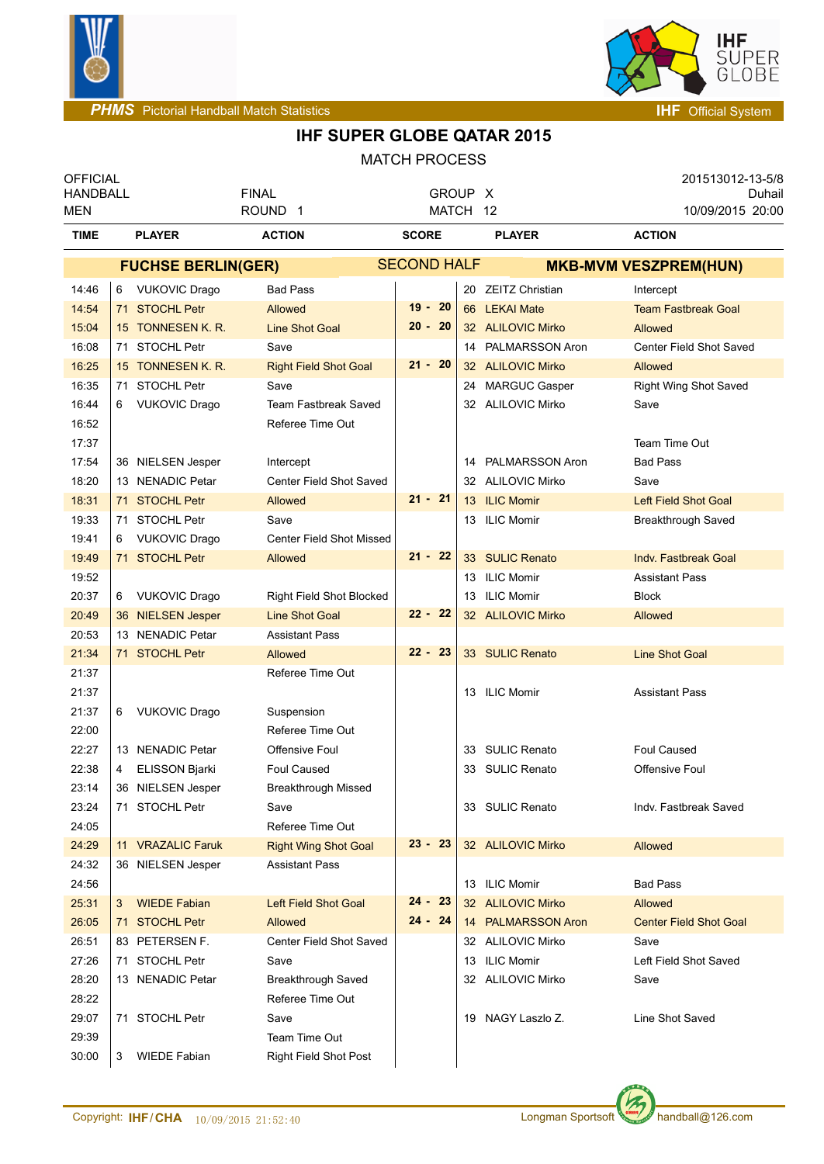



| <b>OFFICIAL</b>               |                            |                                    |                     |    |                     | 201513012-13-5/8              |
|-------------------------------|----------------------------|------------------------------------|---------------------|----|---------------------|-------------------------------|
| <b>HANDBALL</b><br><b>MEN</b> |                            | <b>FINAL</b><br>ROUND <sub>1</sub> | GROUP X<br>MATCH 12 |    |                     | Duhail<br>10/09/2015 20:00    |
| <b>TIME</b>                   | <b>PLAYER</b>              | <b>ACTION</b>                      | <b>SCORE</b>        |    | <b>PLAYER</b>       | <b>ACTION</b>                 |
|                               | <b>FUCHSE BERLIN(GER)</b>  |                                    | <b>SECOND HALF</b>  |    |                     | <b>MKB-MVM VESZPREM(HUN)</b>  |
| 14:46                         | 6 VUKOVIC Drago            | <b>Bad Pass</b>                    |                     |    | 20 ZEITZ Christian  | Intercept                     |
| 14:54                         | 71 STOCHL Petr             | Allowed                            | $19 - 20$           |    | 66 LEKAI Mate       | <b>Team Fastbreak Goal</b>    |
| 15:04                         | 15 TONNESEN K. R.          | <b>Line Shot Goal</b>              | $20 - 20$           |    | 32 ALILOVIC Mirko   | Allowed                       |
| 16:08                         | 71 STOCHL Petr             | Save                               |                     |    | 14 PALMARSSON Aron  | Center Field Shot Saved       |
| 16:25                         | 15 TONNESEN K. R.          | <b>Right Field Shot Goal</b>       | $21 - 20$           |    | 32 ALILOVIC Mirko   | <b>Allowed</b>                |
| 16:35                         | <b>STOCHL Petr</b><br>71   | Save                               |                     |    | 24 MARGUC Gasper    | Right Wing Shot Saved         |
| 16:44                         | <b>VUKOVIC Drago</b><br>6  | <b>Team Fastbreak Saved</b>        |                     |    | 32 ALILOVIC Mirko   | Save                          |
| 16:52                         |                            | Referee Time Out                   |                     |    |                     |                               |
| 17:37                         |                            |                                    |                     |    |                     | Team Time Out                 |
| 17:54                         | 36 NIELSEN Jesper          | Intercept                          |                     |    | 14 PALMARSSON Aron  | <b>Bad Pass</b>               |
| 18:20                         | 13 NENADIC Petar           | Center Field Shot Saved            |                     |    | 32 ALILOVIC Mirko   | Save                          |
| 18:31                         | 71 STOCHL Petr             | Allowed                            | $21 - 21$           |    | 13 ILIC Momir       | <b>Left Field Shot Goal</b>   |
| 19:33                         | 71 STOCHL Petr             | Save                               |                     |    | 13 ILIC Momir       | Breakthrough Saved            |
| 19:41                         | <b>VUKOVIC Drago</b><br>6  | <b>Center Field Shot Missed</b>    |                     |    |                     |                               |
| 19:49                         | 71 STOCHL Petr             | Allowed                            | $21 - 22$           |    | 33 SULIC Renato     | Indy. Fastbreak Goal          |
| 19:52                         |                            |                                    |                     |    | 13 ILIC Momir       | <b>Assistant Pass</b>         |
| 20:37                         | 6 VUKOVIC Drago            | <b>Right Field Shot Blocked</b>    |                     | 13 | <b>ILIC Momir</b>   | <b>Block</b>                  |
| 20:49                         | 36 NIELSEN Jesper          | <b>Line Shot Goal</b>              | $22 - 22$           |    | 32 ALILOVIC Mirko   | Allowed                       |
| 20:53                         | 13 NENADIC Petar           | <b>Assistant Pass</b>              |                     |    |                     |                               |
| 21:34                         | 71 STOCHL Petr             | Allowed                            | $22 - 23$           |    | 33 SULIC Renato     | <b>Line Shot Goal</b>         |
| 21:37                         |                            | Referee Time Out                   |                     |    |                     |                               |
| 21:37                         |                            |                                    |                     |    | 13 ILIC Momir       | <b>Assistant Pass</b>         |
| 21:37                         | <b>VUKOVIC Drago</b><br>6  | Suspension                         |                     |    |                     |                               |
| 22:00                         |                            | Referee Time Out                   |                     |    |                     |                               |
| 22:27                         | 13 NENADIC Petar           | Offensive Foul                     |                     |    | 33 SULIC Renato     | <b>Foul Caused</b>            |
| 22:38                         | <b>ELISSON Bjarki</b><br>4 | <b>Foul Caused</b>                 |                     | 33 | <b>SULIC Renato</b> | <b>Offensive Foul</b>         |
| 23:14                         | 36 NIELSEN Jesper          | Breakthrough Missed                |                     |    |                     |                               |
| 23:24                         | 71 STOCHL Petr             | Save                               |                     |    | 33 SULIC Renato     | Indv. Fastbreak Saved         |
| 24:05                         |                            | Referee Time Out                   |                     |    |                     |                               |
| 24:29                         | 11 VRAZALIC Faruk          | <b>Right Wing Shot Goal</b>        | $23 - 23$           |    | 32 ALILOVIC Mirko   | Allowed                       |
| 24:32                         | 36 NIELSEN Jesper          | <b>Assistant Pass</b>              |                     |    |                     |                               |
| 24:56                         |                            |                                    |                     |    | 13 ILIC Momir       | <b>Bad Pass</b>               |
| 25:31                         | <b>WIEDE Fabian</b><br>3   | Left Field Shot Goal               | $24 - 23$           |    | 32 ALILOVIC Mirko   | Allowed                       |
| 26:05                         | 71 STOCHL Petr             | <b>Allowed</b>                     | $24 - 24$           |    | 14 PALMARSSON Aron  | <b>Center Field Shot Goal</b> |
| 26:51                         | 83 PETERSEN F.             | Center Field Shot Saved            |                     |    | 32 ALILOVIC Mirko   | Save                          |
| 27:26                         | 71 STOCHL Petr             | Save                               |                     |    | 13 ILIC Momir       | Left Field Shot Saved         |
| 28:20                         | 13 NENADIC Petar           | Breakthrough Saved                 |                     |    | 32 ALILOVIC Mirko   | Save                          |
| 28:22                         |                            | Referee Time Out                   |                     |    |                     |                               |
| 29:07                         | 71 STOCHL Petr             | Save                               |                     |    | 19 NAGY Laszlo Z.   | Line Shot Saved               |
| 29:39                         |                            | Team Time Out                      |                     |    |                     |                               |
| 30:00                         | <b>WIEDE Fabian</b><br>3   | Right Field Shot Post              |                     |    |                     |                               |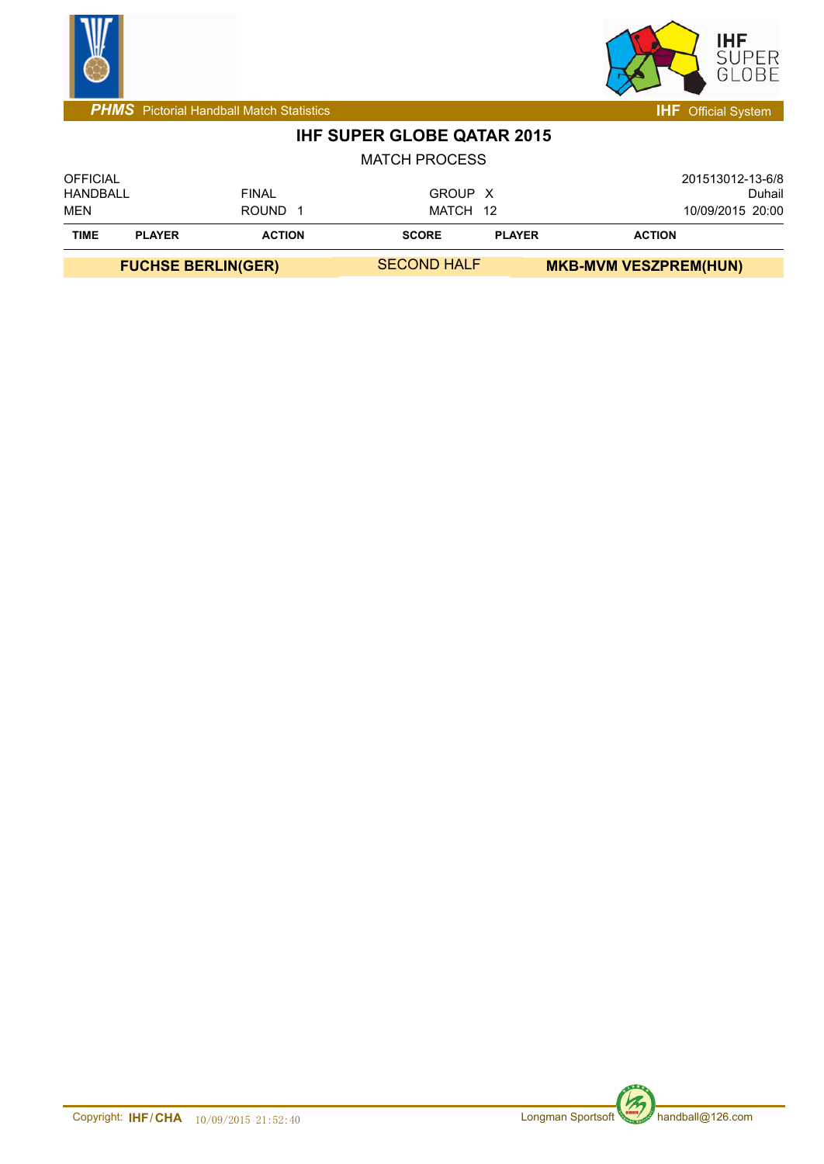



**PHMS** Pictorial Handball Match Statistics **Intervalse and Contract Contract Contract Contract Contract Contract Contract Contract Contract Contract Contract Contract Contract Contract Contract Contract Contract Contract C** 

### **IHF SUPER GLOBE QATAR 2015**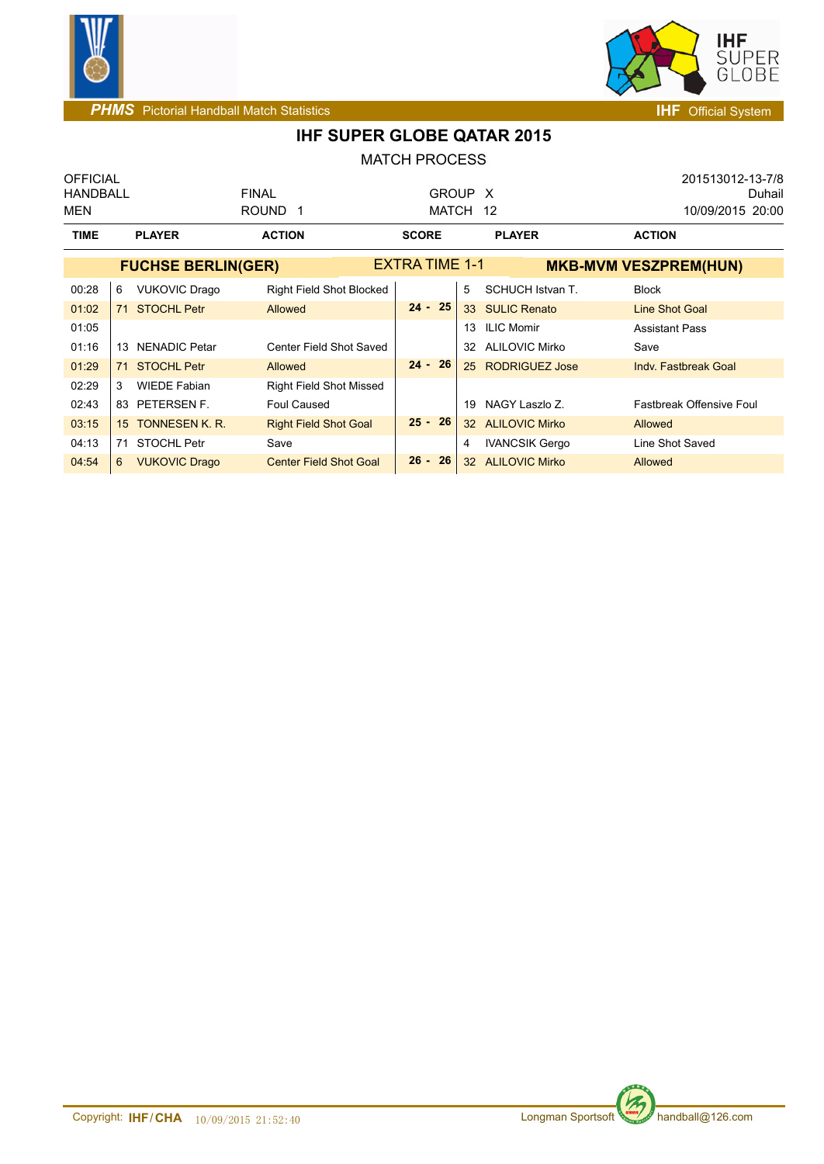



| <b>OFFICIAL</b> |                            |                               |                       |    |                       | 201513012-13-7/8                |
|-----------------|----------------------------|-------------------------------|-----------------------|----|-----------------------|---------------------------------|
| <b>HANDBALL</b> |                            | <b>FINAL</b>                  | GROUP X               |    |                       | Duhail                          |
| MEN             |                            | ROUND <sub>1</sub>            | MATCH 12              |    |                       | 10/09/2015 20:00                |
| <b>TIME</b>     | <b>PLAYER</b>              | <b>ACTION</b>                 | <b>SCORE</b>          |    | <b>PLAYER</b>         | <b>ACTION</b>                   |
|                 | <b>FUCHSE BERLIN(GER)</b>  |                               | <b>EXTRA TIME 1-1</b> |    |                       | <b>MKB-MVM VESZPREM(HUN)</b>    |
| 00:28           | <b>VUKOVIC Drago</b><br>6  | Right Field Shot Blocked      |                       | 5  | SCHUCH Istvan T.      | <b>Block</b>                    |
| 01:02           | <b>STOCHL Petr</b><br>71   | Allowed                       | $24 - 25$             |    | 33 SULIC Renato       | Line Shot Goal                  |
| 01:05           |                            |                               |                       | 13 | <b>ILIC Momir</b>     | <b>Assistant Pass</b>           |
| 01:16           | <b>NENADIC Petar</b><br>13 | Center Field Shot Saved       |                       |    | 32 ALILOVIC Mirko     | Save                            |
| 01:29           | <b>STOCHL Petr</b><br>71   | Allowed                       | $24 - 26$             |    | 25 RODRIGUEZ Jose     | Indv. Fastbreak Goal            |
| 02:29           | <b>WIEDE Fabian</b><br>3   | Right Field Shot Missed       |                       |    |                       |                                 |
| 02:43           | 83 PETERSEN F.             | <b>Foul Caused</b>            |                       | 19 | NAGY Laszlo Z.        | <b>Fastbreak Offensive Foul</b> |
| 03:15           | 15 TONNESEN K. R.          | <b>Right Field Shot Goal</b>  | $25 - 26$             |    | 32 ALILOVIC Mirko     | <b>Allowed</b>                  |
| 04:13           | <b>STOCHL Petr</b><br>71   | Save                          |                       | 4  | <b>IVANCSIK Gergo</b> | Line Shot Saved                 |
| 04:54           | <b>VUKOVIC Drago</b><br>6  | <b>Center Field Shot Goal</b> | $26 - 26$             |    | 32 ALILOVIC Mirko     | <b>Allowed</b>                  |